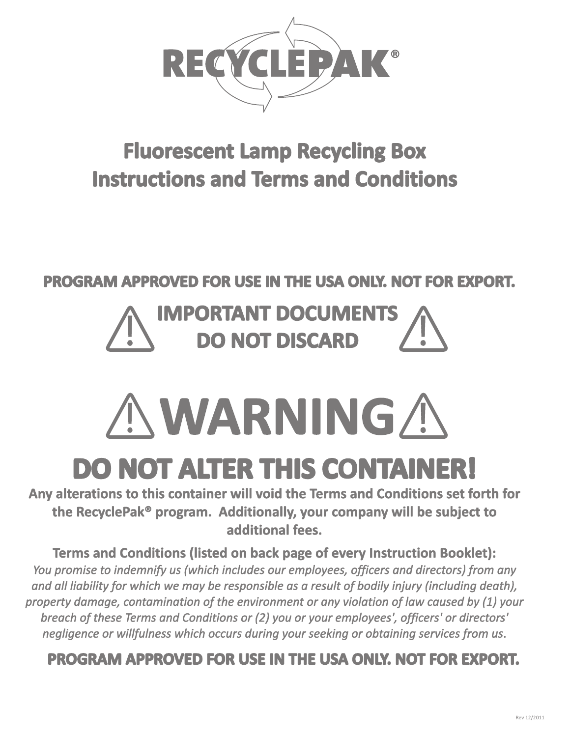

# **Fluorescent Lamp Recycling Box Instructions and Terms and Conditions**

### **PROGRAM APPROVED FOR USE IN THE USA ONLY. NOT FOR EXPORT.**

# **IMPORTANT DOCUMENTS DO NOT DISCARD**

# **WARNING**

# **DO NOT ALTER THIS CONTAINER!**

Any alterations to this container will void the Terms and Conditions set forth for the RecyclePak<sup>®</sup> program. Additionally, your company will be subject to additional fees.

**Terms and Conditions (listed on back page of every Instruction Booklet):** You promise to indemnify us (which includes our employees, officers and directors) from any and all liability for which we may be responsible as a result of bodily injury (including death), property damage, contamination of the environment or any violation of law caused by (1) your breach of these Terms and Conditions or (2) you or your employees', officers' or directors' negligence or willfulness which occurs during your seeking or obtaining services from us.

## **PROGRAM APPROVED FOR USE IN THE USA ONLY. NOT FOR EXPORT.**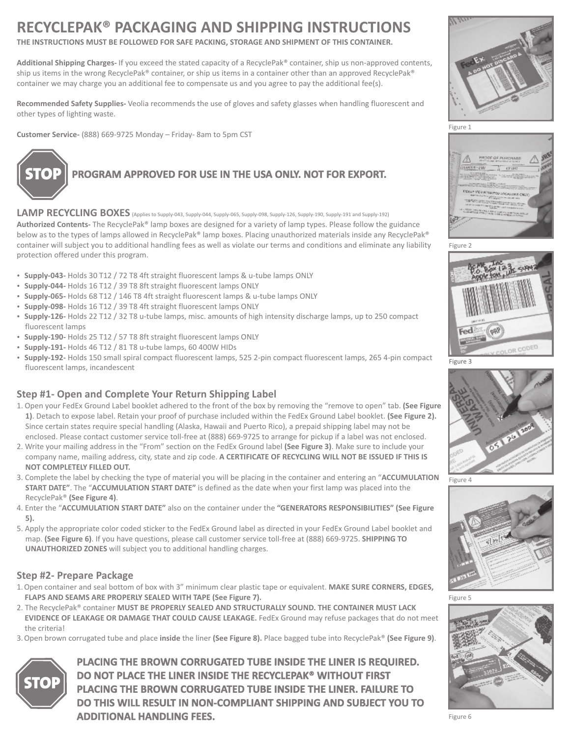## **RECYCLEPAK® PACKAGING AND SHIPPING INSTRUCTIONS**

**THE INSTRUCTIONS MUST BE FOLLOWED FOR SAFE PACKING, STORAGE AND SHIPMENT OF THIS CONTAINER.**

**Additional Shipping Charges-**If you exceed the stated capacity of a RecyclePak® container, ship us non-approved contents, ship us items in the wrong RecyclePak® container, or ship us items in a container other than an approved RecyclePak® container we may charge you an additional fee to compensate us and you agree to pay the additional fee(s).

Recommended Safety Supplies- Veolia recommends the use of gloves and safety glasses when handling fluorescent and other types of lighting waste.

**Customer Service-** (888) 669-9725 Monday – Friday- 8am to 5pm CST



# **PROGRAM APPROVED FOR USE IN THE USA ONLY. NOT FOR EXPORT.**

LAMP RECYCLING BOXES (Applies to Supply-043, Supply-044, Supply-065, Supply-098, Supply-126, Supply-190, Supply-191 and Supply-192) **Authorized Contents-** The RecyclePak® lamp boxes are designed for a variety of lamp types. Please follow the guidance below as to the types of lamps allowed in RecyclePak® lamp boxes. Placing unauthorized materials inside any RecyclePak® container will subject you to additional handling fees as well as violate our terms and conditions and eliminate any liability protection offered under this program.

- **Supply-043-** Holds 30 T12 / 72 T8 4ft straight fluorescent lamps & u-tube lamps ONLY<br>• **Supply-044-** Holds 16 T12 / 39 T8 8ft straight fluorescent lamps ONLY
- 
- ?**Supply-044-** Holds 16 T12 / 39 T8 8ft straight fluorescent lamps ONLY ?**Supply-065-** Holds 68 T12 / 146 T8 4ft straight fluorescent lamps & u-tube lamps ONLY
- 
- ?**Supply-098-** Holds 16 T12 / 39 T8 4ft straight fluorescent lamps ONLY **Supply-126-** Holds 22 T12 / 32 T8 u-tube lamps, misc. amounts of high intensity discharge lamps, up to 250 compact
- fluorescent lamps<br>• Supply-190- Holds 25 T12 / 57 T8 8ft straight fluorescent lamps ONLY
- **Supply-191- Holds 46 T12 / 81 T8 u-tube lamps, 60 400W HIDs**
- ?**Supply-191-** Holds 46 T12 / 81 T8 u-tube lamps, 60 400W HIDs **Supply-192-** Holds 150 small spiral compact fluorescent lamps, 525 2-pin compact fluorescent lamps, 265 4-pin compact fluorescent lamps, incandescent

#### **Step #1- Open and Complete Your Return Shipping Label**

- 1. Open your FedEx Ground Label booklet adhered to the front of the box by removing the "remove to open" tab. **(See Figure 1)**. Detach to expose label. Retain your proof of purchase included within the FedEx Ground Label booklet. **(See Figure 2).**  Since certain states require special handling (Alaska, Hawaii and Puerto Rico), a prepaid shipping label may not be enclosed. Please contact customer service toll-free at (888) 669-9725 to arrange for pickup if a label was not enclosed.
- 2. Write your mailing address in the "From" section on the FedEx Ground label **(See Figure 3)**. Make sure to include your company name, mailing address, city, state and zip code. **A CERTIFICATE OF RECYCLING WILL NOT BE ISSUED IF THIS IS NOT COMPLETELY FILLED OUT.**
- 3. Complete the label by checking the type of material you will be placing in the container and entering an "**ACCUMULATION START DATE"**. The "**ACCUMULATION START DATE"** is defined as the date when your first lamp was placed into the RecyclePak® **(See Figure 4)**.
- 4. Enter the "**ACCUMULATION START DATE"** also on the container under the **"GENERATORS RESPONSIBILITIES" (See Figure 5).**
- 5. Apply the appropriate color coded sticker to the FedEx Ground label as directed in your FedEx Ground Label booklet and map. **(See Figure 6)**. If you have questions, please call customer service toll-free at (888) 669-9725. **SHIPPING TO UNAUTHORIZED ZONES** will subject you to additional handling charges.

#### **Step #2- Prepare Package**

- 1.Open container and seal bottom of box with 3" minimum clear plastic tape or equivalent. **MAKE SURE CORNERS, EDGES, FLAPS AND SEAMS ARE PROPERLY SEALED WITH TAPE (See Figure 7).**
- 2. The RecyclePak® container **MUST BE PROPERLY SEALED AND STRUCTURALLY SOUND. THE CONTAINER MUST LACK EVIDENCE OF LEAKAGE OR DAMAGE THAT COULD CAUSE LEAKAGE.** FedEx Ground may refuse packages that do not meet the criteria!
- 3.Open brown corrugated tube and place **inside** the liner **(See Figure 8).** Place bagged tube into RecyclePak® **(See Figure 9)**.



**PLACING THE BROWN CORRUGATED TUBE INSIDE THE LINER IS REQUIRED. DO NOT PLACE THE LINER INSIDE THE RECYCLEPAK**® **WITHOUT FIRST PLACING THE BROWN CORRUGATED TUBE INSIDE THE LINER. FAILURE TO DO THIS WILL RESULT IN NON-COMPLIANT SHIPPING AND SUBJECT YOU TO ADDITIONAL HANDLING FEES.** 







Figure 3



Figure 4



Figure 5



Figure 6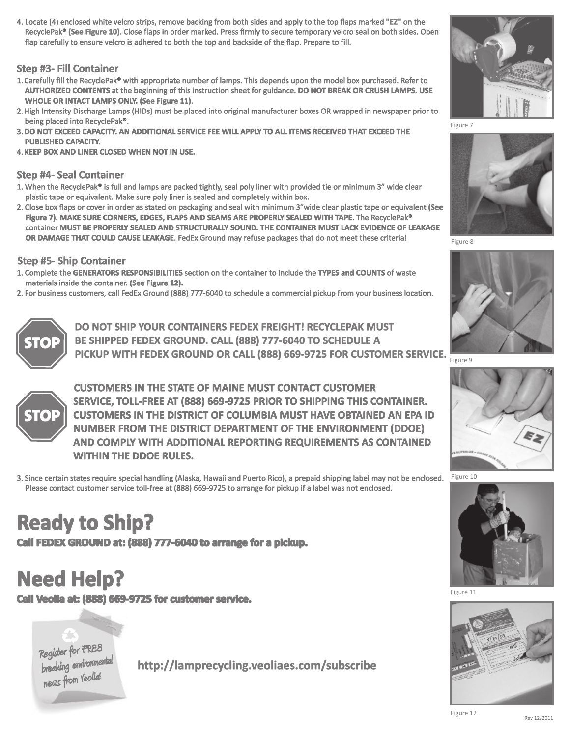4. Locate (4) enclosed white velcro strips, remove backing from both sides and apply to the top flaps marked "EZ" on the RecyclePak**® (See Figure 10).** Close flaps in order marked. Press firmly to secure temporary velcro seal on both sides. Open flap carefully to ensure velcro is adhered to both the top and backside of the flap. Prepare to fill.

#### **Step #3- Fill Container**

- 1.Carefully fill the RecyclePak® with appropriate number of lamps. This depends upon the model box purchased. Refer to **AUTHORIZED CONTENTS** at the beginning of this instruction sheet for guidance. **DO NOT BREAK OR CRUSH LAMPS. USE WHOLE OR INTACT LAMPS ONLY. (See Figure 11)**.
- 2.High Intensity Discharge Lamps (HIDs) must be placed into original manufacturer boxes OR wrapped in newspaper prior to being placed into RecyclePak®.
- 3.**DO NOT EXCEED CAPACITY. AN ADDITIONAL SERVICE FEE WILL APPLY TO ALL ITEMS RECEIVED THAT EXCEED THE PUBLISHED CAPACITY.**
- 4.**KEEP BOX AND LINER CLOSED WHEN NOT IN USE.**

#### **Step #4- Seal Container**

- 1. When the RecyclePak® is full and lamps are packed tightly, seal poly liner with provided tie or minimum 3" wide clear plastic tape or equivalent. Make sure poly liner is sealed and completely within box.
- 2. Close box flaps or cover in order as stated on packaging and seal with minimum 3"wide clear plastic tape or equivalent **(See Figure 7). MAKE SURE CORNERS, EDGES, FLAPS AND SEAMS ARE PROPERLY SEALED WITH TAPE**. The RecyclePak® container **MUST BE PROPERLY SEALED AND STRUCTURALLY SOUND. THE CONTAINER MUST LACK EVIDENCE OF LEAKAGE OR DAMAGE THAT COULD CAUSE LEAKAGE**. FedEx Ground may refuse packages that do not meet these criteria!

#### **Step #5- Ship Container**

- 1. Complete the **GENERATORS RESPONSIBILITIES** section on the container to include the **TYPES and COUNTS** of waste materials inside the container. **(See Figure 12).**
- 2. For business customers, call FedEx Ground (888) 777-6040 to schedule a commercial pickup from your business location.



**DO NOT SHIP YOUR CONTAINERS FEDEX FREIGHT! RECYCLEPAK MUST BE SHIPPED FEDEX GROUND. CALL (888) 777-6040 TO SCHEDULE A PICKUP WITH FEDEX GROUND OR CALL (888) 669-9725 FOR CUSTOMER SERVICE.** 



**CUSTOMERS IN THE STATE OF MAINE MUST CONTACT CUSTOMER SERVICE, TOLL-FREE AT (888) 669-9725 PRIOR TO SHIPPING THIS CONTAINER. CUSTOMERS IN THE DISTRICT OF COLUMBIA MUST HAVE OBTAINED AN EPA ID NUMBER FROM THE DISTRICT DEPARTMENT OF THE ENVIRONMENT (DDOE) AND COMPLY WITH ADDITIONAL REPORTING REQUIREMENTS AS CONTAINED WITHIN THE DDOE RULES.** 

3. Since certain states require special handling (Alaska, Hawaii and Puerto Rico), a prepaid shipping label may not be enclosed. Please contact customer service toll-free at (888) 669-9725 to arrange for pickup if a label was not enclosed.

# **Ready to Ship?**

**Call FEDEX GROUND at: (888) 777-6040 to arrange for a pickup.**

# **Need Help?**

**Call Veolia at: (888) 669-9725 for customer service.**

Register for FR88<br>breaking environmental<br>news from Yeoliat

**http://lamprecycling.veoliaes.com/subscribe**







Figure 8











Figure 11